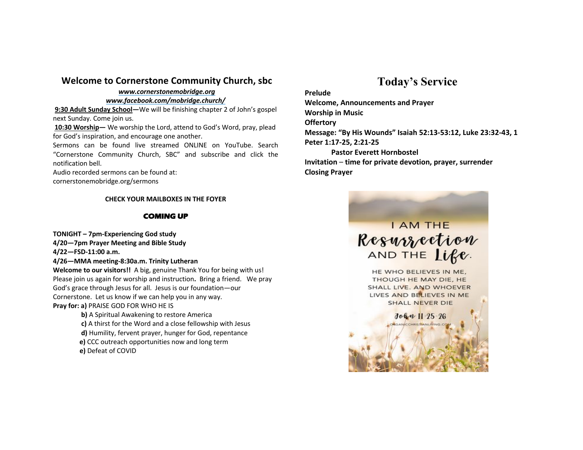#### **Welcome to Cornerstone Community Church, sbc**

#### *www.cornerstonemobridge.org*

*www.facebook.com/mobridge.church/*

**9:30 Adult Sunday School—**We will be finishing chapter 2 of John's gospel next Sunday. Come join us.

**10:30 Worship—** We worship the Lord, attend to God's Word, pray, plead for God's inspiration, and encourage one another.

Sermons can be found live streamed ONLINE on YouTube. Search "Cornerstone Community Church, SBC" and subscribe and click the notification bell.

Audio recorded sermons can be found at:

cornerstonemobridge.org/sermons

#### **CHECK YOUR MAILBOXES IN THE FOYER**

#### **COMING UP**

**TONIGHT – 7pm-Experiencing God study**

**4/20—7pm Prayer Meeting and Bible Study**

**4/22—FSD-11:00 a.m.**

**4/26—MMA meeting-8:30a.m. Trinity Lutheran**

**Welcome to our visitors!!** A big, genuine Thank You for being with us! Please join us again for worship and instruction**.** Bring a friend. We pray God's grace through Jesus for all. Jesus is our foundation—our Cornerstone. Let us know if we can help you in any way.

**Pray for: a)** PRAISE GOD FOR WHO HE IS

**b)** A Spiritual Awakening to restore America **c)** A thirst for the Word and a close fellowship with Jesus **d)** Humility, fervent prayer, hunger for God, repentance **e)** CCC outreach opportunities now and long term **e)** Defeat of COVID

## **Today's Service**

#### **Prelude**

**Welcome, Announcements and Prayer** 

**Worship in Music**

**Offertory**

**Message: "By His Wounds" Isaiah 52:13-53:12, Luke 23:32-43, 1**

**Peter 1:17-25, 2:21-25**

**Pastor Everett Hornbostel**

**Invitation** – **time for private devotion, prayer, surrender Closing Prayer**

# **I AM THE** Resurrection AND THE Life.

HE WHO BELIEVES IN ME. THOUGH HE MAY DIE, HE SHALL LIVE. AND WHOEVER LIVES AND BELIEVES IN ME SHALL NEVER DIE

John 11 25-26